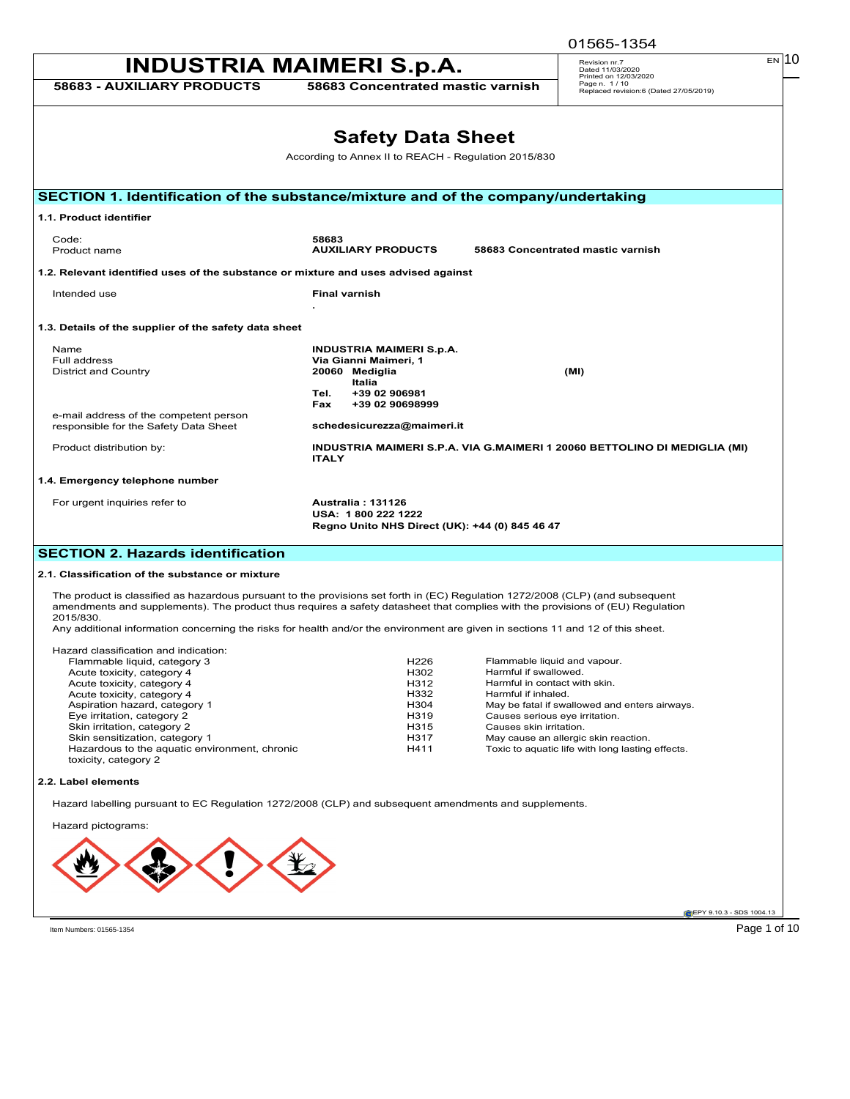|                                                                                    |                                                                                                                                                                                                                                                                                                                                                                                                      | 01565-1354                                                                      |
|------------------------------------------------------------------------------------|------------------------------------------------------------------------------------------------------------------------------------------------------------------------------------------------------------------------------------------------------------------------------------------------------------------------------------------------------------------------------------------------------|---------------------------------------------------------------------------------|
|                                                                                    | <b>INDUSTRIA MAIMERI S.p.A.</b>                                                                                                                                                                                                                                                                                                                                                                      | EN 10<br>Revision nr.7<br>Dated 11/03/2020                                      |
| <b>58683 - AUXILIARY PRODUCTS</b>                                                  | 58683 Concentrated mastic varnish                                                                                                                                                                                                                                                                                                                                                                    | Printed on 12/03/2020<br>Page n. 1/10<br>Replaced revision:6 (Dated 27/05/2019) |
|                                                                                    |                                                                                                                                                                                                                                                                                                                                                                                                      |                                                                                 |
|                                                                                    | <b>Safety Data Sheet</b>                                                                                                                                                                                                                                                                                                                                                                             |                                                                                 |
|                                                                                    | According to Annex II to REACH - Regulation 2015/830                                                                                                                                                                                                                                                                                                                                                 |                                                                                 |
|                                                                                    |                                                                                                                                                                                                                                                                                                                                                                                                      |                                                                                 |
| SECTION 1. Identification of the substance/mixture and of the company/undertaking  |                                                                                                                                                                                                                                                                                                                                                                                                      |                                                                                 |
| 1.1. Product identifier                                                            |                                                                                                                                                                                                                                                                                                                                                                                                      |                                                                                 |
| Code:<br>Product name                                                              | 58683<br><b>AUXILIARY PRODUCTS</b>                                                                                                                                                                                                                                                                                                                                                                   | 58683 Concentrated mastic varnish                                               |
| 1.2. Relevant identified uses of the substance or mixture and uses advised against |                                                                                                                                                                                                                                                                                                                                                                                                      |                                                                                 |
| Intended use                                                                       | <b>Final varnish</b>                                                                                                                                                                                                                                                                                                                                                                                 |                                                                                 |
| 1.3. Details of the supplier of the safety data sheet                              |                                                                                                                                                                                                                                                                                                                                                                                                      |                                                                                 |
| Name                                                                               | <b>INDUSTRIA MAIMERI S.p.A.</b>                                                                                                                                                                                                                                                                                                                                                                      |                                                                                 |
| Full address<br><b>District and Country</b>                                        | Via Gianni Maimeri, 1<br>20060 Mediglia                                                                                                                                                                                                                                                                                                                                                              | (MI)                                                                            |
|                                                                                    | Italia                                                                                                                                                                                                                                                                                                                                                                                               |                                                                                 |
|                                                                                    | Tel.<br>+39 02 906981<br>Fax<br>+39 02 90698999                                                                                                                                                                                                                                                                                                                                                      |                                                                                 |
| e-mail address of the competent person<br>responsible for the Safety Data Sheet    | schedesicurezza@maimeri.it                                                                                                                                                                                                                                                                                                                                                                           |                                                                                 |
| Product distribution by:                                                           | INDUSTRIA MAIMERI S.P.A. VIA G.MAIMERI 1 20060 BETTOLINO DI MEDIGLIA (MI)<br><b>ITALY</b>                                                                                                                                                                                                                                                                                                            |                                                                                 |
| 1.4. Emergency telephone number                                                    |                                                                                                                                                                                                                                                                                                                                                                                                      |                                                                                 |
| For urgent inquiries refer to                                                      | <b>Australia: 131126</b><br>USA: 1800 222 1222<br>Regno Unito NHS Direct (UK): +44 (0) 845 46 47                                                                                                                                                                                                                                                                                                     |                                                                                 |
| <b>SECTION 2. Hazards identification</b>                                           |                                                                                                                                                                                                                                                                                                                                                                                                      |                                                                                 |
| 2.1. Classification of the substance or mixture                                    |                                                                                                                                                                                                                                                                                                                                                                                                      |                                                                                 |
| 2015/830.                                                                          | The product is classified as hazardous pursuant to the provisions set forth in (EC) Regulation 1272/2008 (CLP) (and subsequent<br>amendments and supplements). The product thus requires a safety datasheet that complies with the provisions of (EU) Requlation<br>Any additional information concerning the risks for health and/or the environment are given in sections 11 and 12 of this sheet. |                                                                                 |
| Hazard classification and indication:                                              |                                                                                                                                                                                                                                                                                                                                                                                                      |                                                                                 |
| Flammable liquid, category 3<br>Acute toxicity, category 4                         | H226<br>H302                                                                                                                                                                                                                                                                                                                                                                                         | Flammable liquid and vapour.<br>Harmful if swallowed.                           |
| Acute toxicity, category 4                                                         | H312                                                                                                                                                                                                                                                                                                                                                                                                 | Harmful in contact with skin.                                                   |
| Acute toxicity, category 4                                                         | H332<br>Harmful if inhaled.                                                                                                                                                                                                                                                                                                                                                                          |                                                                                 |
| Aspiration hazard, category 1<br>Eye irritation, category 2                        | H304<br>H319                                                                                                                                                                                                                                                                                                                                                                                         | May be fatal if swallowed and enters airways.<br>Causes serious eye irritation. |
| Skin irritation, category 2                                                        | H315                                                                                                                                                                                                                                                                                                                                                                                                 | Causes skin irritation.                                                         |
| Skin sensitization, category 1                                                     | H317                                                                                                                                                                                                                                                                                                                                                                                                 | May cause an allergic skin reaction.                                            |
| Hazardous to the aquatic environment, chronic<br>toxicity, category 2              | H411                                                                                                                                                                                                                                                                                                                                                                                                 | Toxic to aquatic life with long lasting effects.                                |
| 2.2. Label elements                                                                |                                                                                                                                                                                                                                                                                                                                                                                                      |                                                                                 |
|                                                                                    | Hazard labelling pursuant to EC Regulation 1272/2008 (CLP) and subsequent amendments and supplements.                                                                                                                                                                                                                                                                                                |                                                                                 |
| Hazard pictograms:                                                                 |                                                                                                                                                                                                                                                                                                                                                                                                      |                                                                                 |
|                                                                                    |                                                                                                                                                                                                                                                                                                                                                                                                      |                                                                                 |
|                                                                                    |                                                                                                                                                                                                                                                                                                                                                                                                      |                                                                                 |
|                                                                                    |                                                                                                                                                                                                                                                                                                                                                                                                      |                                                                                 |
|                                                                                    |                                                                                                                                                                                                                                                                                                                                                                                                      | EPY 9.10.3 - SDS 1004.13                                                        |

Item Numbers: 01565-1354

Page 1 of 10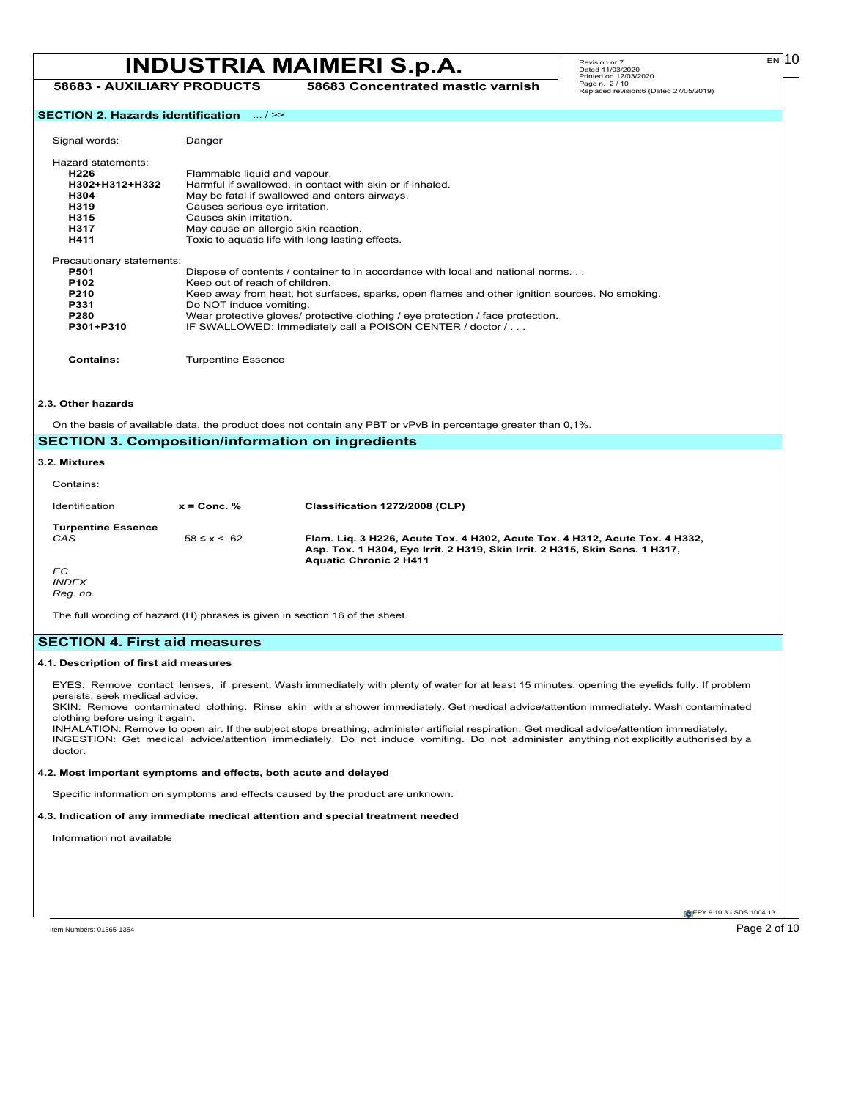# **INDUSTRIA MAIMERI S.p.A.** Revision m:7.2020. **58683 - AUXILIARY PRODUCTS 58683 Concentrated mastic varnish**

 $E<sub>N</sub>$ 10

### **SECTION 2. Hazards identification** ... / >>

| Signal words:             | Danger                                                                                         |
|---------------------------|------------------------------------------------------------------------------------------------|
| Hazard statements:        |                                                                                                |
| H <sub>226</sub>          | Flammable liquid and vapour.                                                                   |
| H302+H312+H332            | Harmful if swallowed, in contact with skin or if inhaled.                                      |
| H304                      | May be fatal if swallowed and enters airways.                                                  |
| H319                      | Causes serious eye irritation.                                                                 |
| H315                      | Causes skin irritation.                                                                        |
| H317                      | May cause an allergic skin reaction.                                                           |
| H411                      | Toxic to aquatic life with long lasting effects.                                               |
| Precautionary statements: |                                                                                                |
| <b>P501</b>               | Dispose of contents / container to in accordance with local and national norms.                |
| P <sub>102</sub>          | Keep out of reach of children.                                                                 |
| P210                      | Keep away from heat, hot surfaces, sparks, open flames and other ignition sources. No smoking. |
| <b>P331</b>               | Do NOT induce vomiting.                                                                        |
| <b>P280</b>               | Wear protective gloves/ protective clothing / eye protection / face protection.                |
| P301+P310                 | IF SWALLOWED: Immediately call a POISON CENTER / doctor /                                      |
| Contains:                 | <b>Turpentine Essence</b>                                                                      |

#### **2.3. Other hazards**

On the basis of available data, the product does not contain any PBT or vPvB in percentage greater than 0,1%.

|                           |                     | <b>SECTION 3. Composition/information on ingredients</b>                                                                                                                                    |
|---------------------------|---------------------|---------------------------------------------------------------------------------------------------------------------------------------------------------------------------------------------|
| 3.2. Mixtures             |                     |                                                                                                                                                                                             |
| Contains:                 |                     |                                                                                                                                                                                             |
| Identification            | $x =$ Conc. %       | Classification 1272/2008 (CLP)                                                                                                                                                              |
| <b>Turpentine Essence</b> |                     |                                                                                                                                                                                             |
| CAS                       | $58 \leq x \leq 62$ | Flam. Lig. 3 H226, Acute Tox. 4 H302, Acute Tox. 4 H312, Acute Tox. 4 H332,<br>Asp. Tox. 1 H304, Eye Irrit. 2 H319, Skin Irrit. 2 H315, Skin Sens. 1 H317,<br><b>Aquatic Chronic 2 H411</b> |
| EC.                       |                     |                                                                                                                                                                                             |
| <b>INDEX</b>              |                     |                                                                                                                                                                                             |
| Reg. no.                  |                     |                                                                                                                                                                                             |

The full wording of hazard (H) phrases is given in section 16 of the sheet.

# **SECTION 4. First aid measures**

### **4.1. Description of first aid measures**

EYES: Remove contact lenses, if present. Wash immediately with plenty of water for at least 15 minutes, opening the eyelids fully. If problem persists, seek medical advice.

SKIN: Remove contaminated clothing. Rinse skin with a shower immediately. Get medical advice/attention immediately. Wash contaminated clothing before using it again.

INHALATION: Remove to open air. If the subject stops breathing, administer artificial respiration. Get medical advice/attention immediately. INGESTION: Get medical advice/attention immediately. Do not induce vomiting. Do not administer anything not explicitly authorised by a doctor.

# **4.2. Most important symptoms and effects, both acute and delayed**

Specific information on symptoms and effects caused by the product are unknown.

# **4.3. Indication of any immediate medical attention and special treatment needed**

Information not available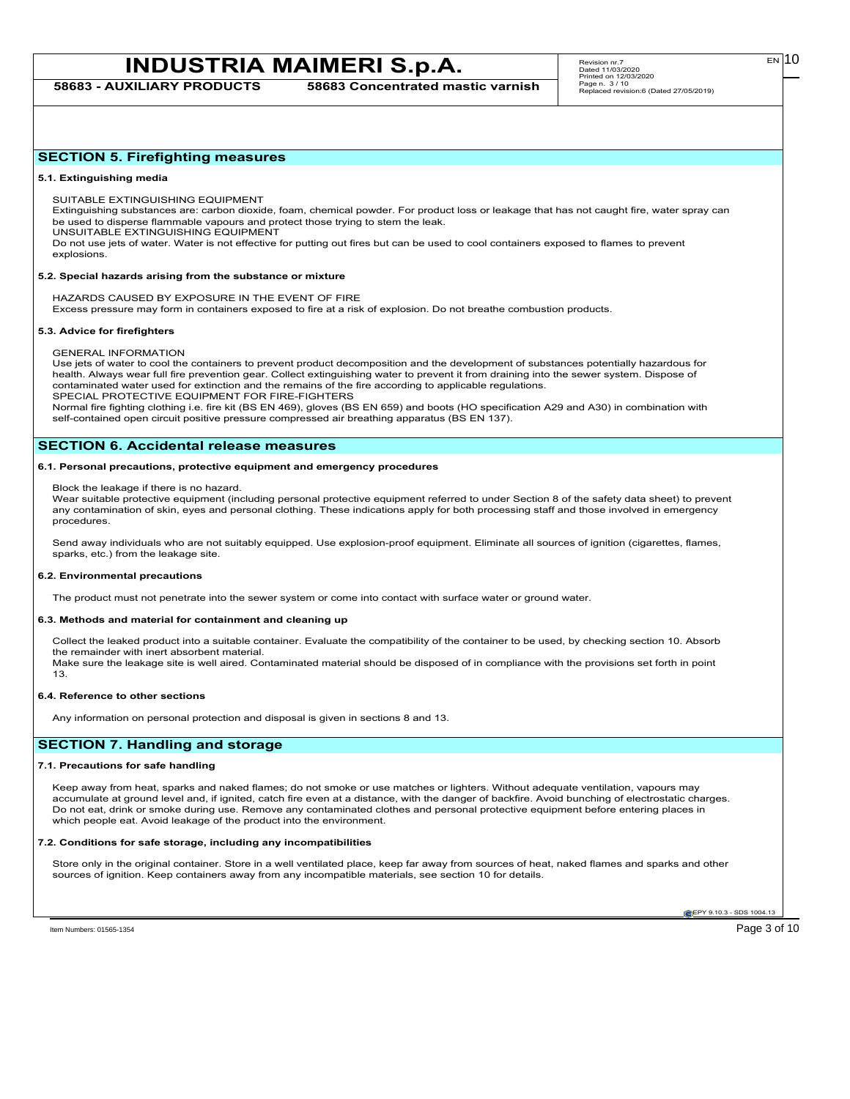**58683 - AUXILIARY PRODUCTS 58683 Concentrated mastic varnish**

# **SECTION 5. Firefighting measures**

#### **5.1. Extinguishing media**

SUITABLE EXTINGUISHING EQUIPMENT

Extinguishing substances are: carbon dioxide, foam, chemical powder. For product loss or leakage that has not caught fire, water spray can be used to disperse flammable vapours and protect those trying to stem the leak.

UNSUITABLE EXTINGUISHING EQUIPMENT

Do not use jets of water. Water is not effective for putting out fires but can be used to cool containers exposed to flames to prevent explosions.

#### **5.2. Special hazards arising from the substance or mixture**

HAZARDS CAUSED BY EXPOSURE IN THE EVENT OF FIRE

Excess pressure may form in containers exposed to fire at a risk of explosion. Do not breathe combustion products.

### **5.3. Advice for firefighters**

GENERAL INFORMATION

Use jets of water to cool the containers to prevent product decomposition and the development of substances potentially hazardous for health. Always wear full fire prevention gear. Collect extinguishing water to prevent it from draining into the sewer system. Dispose of contaminated water used for extinction and the remains of the fire according to applicable regulations. SPECIAL PROTECTIVE EQUIPMENT FOR FIRE-FIGHTERS

Normal fire fighting clothing i.e. fire kit (BS EN 469), gloves (BS EN 659) and boots (HO specification A29 and A30) in combination with self-contained open circuit positive pressure compressed air breathing apparatus (BS EN 137).

# **SECTION 6. Accidental release measures**

### **6.1. Personal precautions, protective equipment and emergency procedures**

Block the leakage if there is no hazard.

Wear suitable protective equipment (including personal protective equipment referred to under Section 8 of the safety data sheet) to prevent any contamination of skin, eyes and personal clothing. These indications apply for both processing staff and those involved in emergency procedures.

Send away individuals who are not suitably equipped. Use explosion-proof equipment. Eliminate all sources of ignition (cigarettes, flames, sparks, etc.) from the leakage site.

### **6.2. Environmental precautions**

The product must not penetrate into the sewer system or come into contact with surface water or ground water.

### **6.3. Methods and material for containment and cleaning up**

Collect the leaked product into a suitable container. Evaluate the compatibility of the container to be used, by checking section 10. Absorb the remainder with inert absorbent material.

Make sure the leakage site is well aired. Contaminated material should be disposed of in compliance with the provisions set forth in point 13.

### **6.4. Reference to other sections**

Any information on personal protection and disposal is given in sections 8 and 13.

# **SECTION 7. Handling and storage**

# **7.1. Precautions for safe handling**

Keep away from heat, sparks and naked flames; do not smoke or use matches or lighters. Without adequate ventilation, vapours may accumulate at ground level and, if ignited, catch fire even at a distance, with the danger of backfire. Avoid bunching of electrostatic charges. Do not eat, drink or smoke during use. Remove any contaminated clothes and personal protective equipment before entering places in which people eat. Avoid leakage of the product into the environment.

### **7.2. Conditions for safe storage, including any incompatibilities**

Store only in the original container. Store in a well ventilated place, keep far away from sources of heat, naked flames and sparks and other sources of ignition. Keep containers away from any incompatible materials, see section 10 for details.

EPY 9.10.3 - SDS 1004.13

Item Numbers: 01565-1354 Page 3 of 10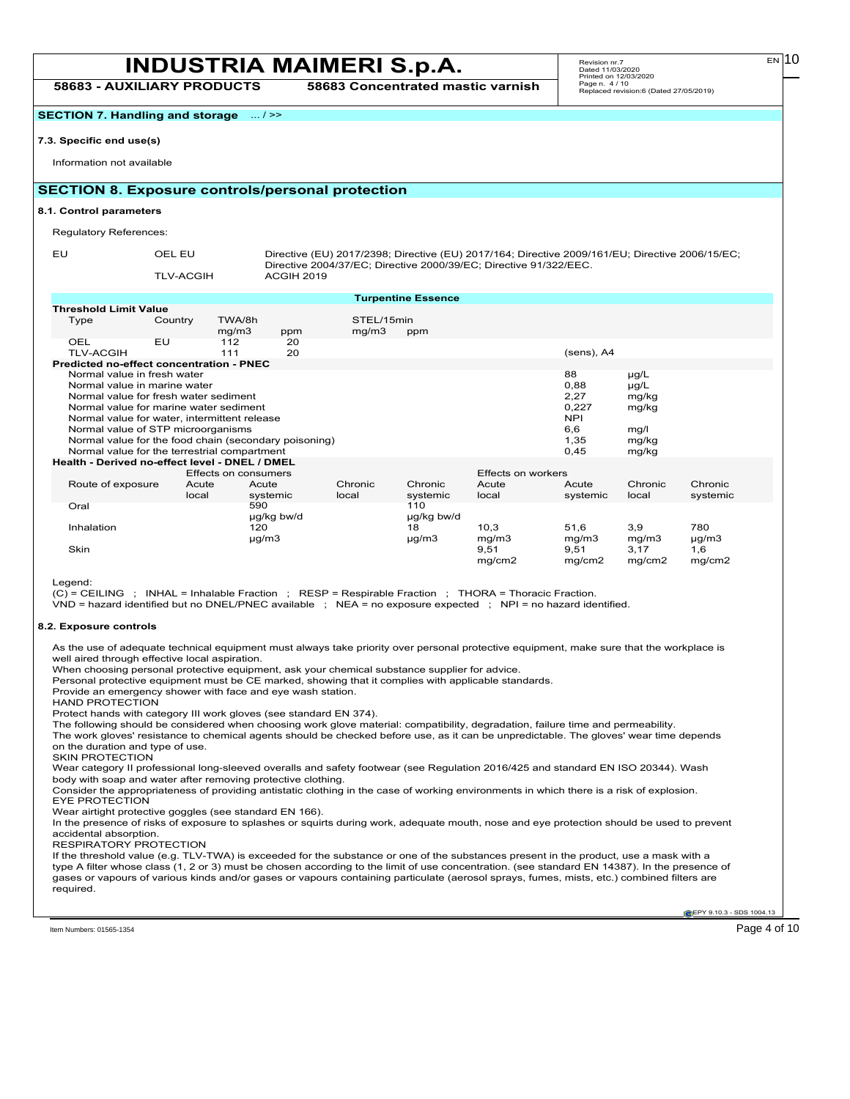**58683 - AUXILIARY PRODUCTS 58683 Concentrated mastic varnish**

**SECTION 7. Handling and storage** ... / >>

### **7.3. Specific end use(s)**

Information not available

# **SECTION 8. Exposure controls/personal protection**

### **8.1. Control parameters**

Regulatory References:

TLV-ACGIH ACGIH 2019

EU OEL EU Directive (EU) 2017/2398; Directive (EU) 2017/164; Directive 2009/161/EU; Directive 2006/15/EC; Directive 2004/37/EC; Directive 2000/39/EC; Directive 91/322/EEC.

|                                                 |                                              |                      |                                                       |            | <b>Turpentine Essence</b> |                    |               |           |            |
|-------------------------------------------------|----------------------------------------------|----------------------|-------------------------------------------------------|------------|---------------------------|--------------------|---------------|-----------|------------|
| <b>Threshold Limit Value</b>                    |                                              |                      |                                                       |            |                           |                    |               |           |            |
| Type                                            | Country                                      | TWA/8h               |                                                       | STEL/15min |                           |                    |               |           |            |
|                                                 |                                              | mg/m3                | ppm                                                   | mg/m3      | ppm                       |                    |               |           |            |
| OEL                                             | EU                                           | 112                  | 20                                                    |            |                           |                    |               |           |            |
| <b>TLV-ACGIH</b>                                |                                              | 111                  | 20                                                    |            |                           |                    | $(sens)$ , A4 |           |            |
| <b>Predicted no-effect concentration - PNEC</b> |                                              |                      |                                                       |            |                           |                    |               |           |            |
|                                                 | Normal value in fresh water                  |                      |                                                       |            |                           |                    | 88            | $\mu$ g/L |            |
|                                                 | Normal value in marine water                 |                      |                                                       |            |                           |                    | 0,88          | $\mu$ g/L |            |
|                                                 | Normal value for fresh water sediment        |                      |                                                       |            |                           |                    | 2,27          | mg/kg     |            |
|                                                 | Normal value for marine water sediment       |                      |                                                       |            |                           |                    | 0,227         | mg/kg     |            |
|                                                 | Normal value for water, intermittent release |                      |                                                       |            |                           |                    | <b>NPI</b>    |           |            |
|                                                 | Normal value of STP microorganisms           |                      |                                                       |            |                           |                    | 6,6           | mg/l      |            |
|                                                 |                                              |                      | Normal value for the food chain (secondary poisoning) |            |                           |                    | 1,35          | mg/kg     |            |
|                                                 | Normal value for the terrestrial compartment |                      |                                                       |            |                           |                    | 0,45          | mg/kg     |            |
| Health - Derived no-effect level - DNEL / DMEL  |                                              |                      |                                                       |            |                           |                    |               |           |            |
|                                                 |                                              |                      |                                                       |            |                           | Effects on workers |               |           |            |
|                                                 |                                              | Effects on consumers |                                                       |            | Chronic                   |                    |               | Chronic   | Chronic    |
| Route of exposure                               |                                              | Acute                | Acute                                                 | Chronic    |                           | Acute              | Acute         |           |            |
|                                                 |                                              | local                | systemic                                              | local      | systemic                  | local              | systemic      | local     | systemic   |
| Oral                                            |                                              |                      | 590                                                   |            | 110                       |                    |               |           |            |
|                                                 |                                              |                      | ug/kg bw/d                                            |            | µg/kg bw/d                |                    |               |           |            |
| Inhalation                                      |                                              |                      | 120                                                   |            | 18                        | 10,3               | 51,6          | 3,9       | 780        |
|                                                 |                                              |                      | $\mu$ g/m3                                            |            | µg/m3                     | mg/m3              | mg/m3         | mg/m3     | $\mu$ g/m3 |
| Skin                                            |                                              |                      |                                                       |            |                           | 9,51               | 9,51          | 3,17      | 1,6        |
|                                                 |                                              |                      |                                                       |            |                           | mg/cm2             | mg/cm2        | mg/cm2    | mg/cm2     |

Legend:

(C) = CEILING ; INHAL = Inhalable Fraction ; RESP = Respirable Fraction ; THORA = Thoracic Fraction.

VND = hazard identified but no DNEL/PNEC available ; NEA = no exposure expected ; NPI = no hazard identified.

### **8.2. Exposure controls**

As the use of adequate technical equipment must always take priority over personal protective equipment, make sure that the workplace is well aired through effective local aspiration.

When choosing personal protective equipment, ask your chemical substance supplier for advice.

Personal protective equipment must be CE marked, showing that it complies with applicable standards.

Provide an emergency shower with face and eye wash station. HAND PROTECTION

Protect hands with category III work gloves (see standard EN 374).

The following should be considered when choosing work glove material: compatibility, degradation, failure time and permeability.

The work gloves' resistance to chemical agents should be checked before use, as it can be unpredictable. The gloves' wear time depends on the duration and type of use.

SKIN PROTECTION

Wear category II professional long-sleeved overalls and safety footwear (see Regulation 2016/425 and standard EN ISO 20344). Wash body with soap and water after removing protective clothing.

Consider the appropriateness of providing antistatic clothing in the case of working environments in which there is a risk of explosion. EYE PROTECTION

Wear airtight protective goggles (see standard EN 166).

In the presence of risks of exposure to splashes or squirts during work, adequate mouth, nose and eye protection should be used to prevent accidental absorption.

RESPIRATORY PROTECTION

If the threshold value (e.g. TLV-TWA) is exceeded for the substance or one of the substances present in the product, use a mask with a type A filter whose class (1, 2 or 3) must be chosen according to the limit of use concentration. (see standard EN 14387). In the presence of gases or vapours of various kinds and/or gases or vapours containing particulate (aerosol sprays, fumes, mists, etc.) combined filters are required.

EPY 9.10.3 - SDS 1004.13

EN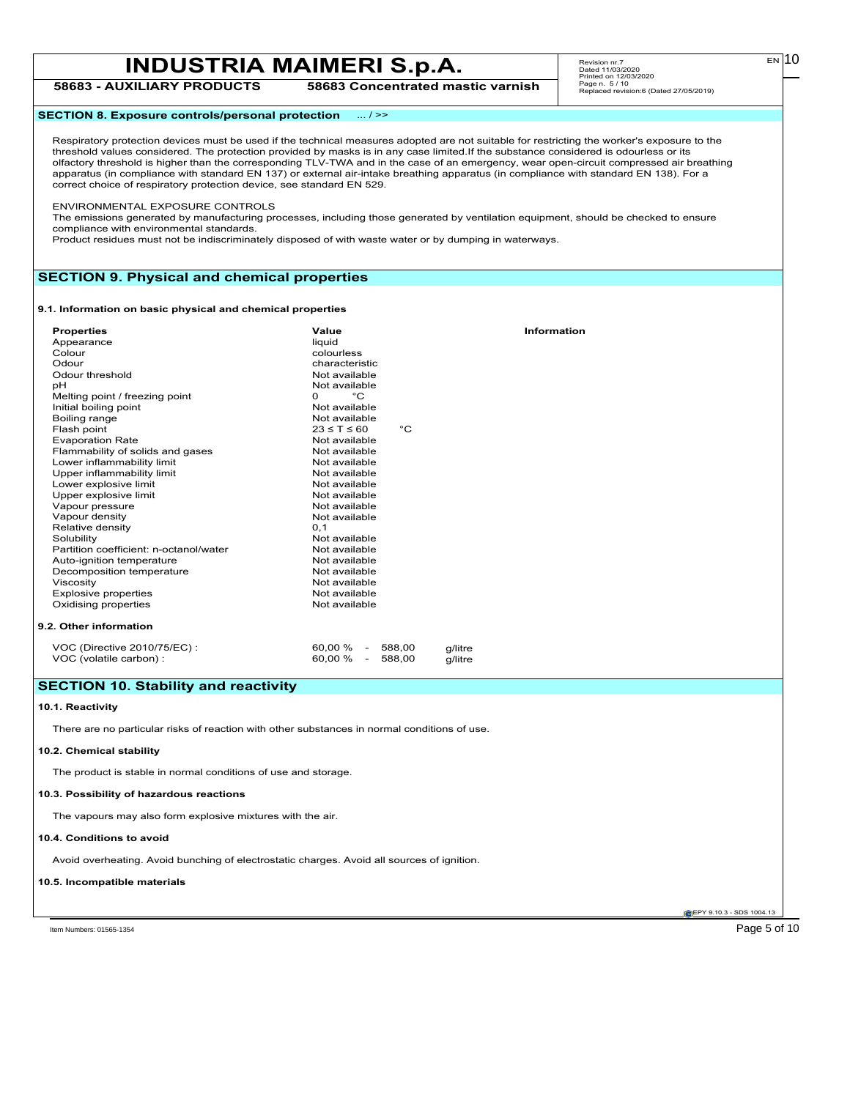Revision nr.7 Dated 11/03/2020 Printed on 12/03/2020 Page n. 5 / 10 Replaced revision:6 (Dated 27/05/2019)

**58683 - AUXILIARY PRODUCTS 58683 Concentrated mastic varnish**

# **SECTION 8. Exposure controls/personal protection** ... / >>

Respiratory protection devices must be used if the technical measures adopted are not suitable for restricting the worker's exposure to the threshold values considered. The protection provided by masks is in any case limited.If the substance considered is odourless or its<br>olfactory threshold is higher than the corresponding TLV-TWA and in the case of an emerge apparatus (in compliance with standard EN 137) or external air-intake breathing apparatus (in compliance with standard EN 138). For a correct choice of respiratory protection device, see standard EN 529.

ENVIRONMENTAL EXPOSURE CONTROLS

The emissions generated by manufacturing processes, including those generated by ventilation equipment, should be checked to ensure compliance with environmental standards.

Product residues must not be indiscriminately disposed of with waste water or by dumping in waterways.

# **SECTION 9. Physical and chemical properties**

#### **9.1. Information on basic physical and chemical properties**

| <b>Properties</b><br>Appearance<br>Colour<br>Odour<br>Odour threshold<br>pH<br>Melting point / freezing point<br>Initial boiling point<br>Boiling range<br>Flash point<br><b>Evaporation Rate</b><br>Flammability of solids and gases<br>Lower inflammability limit<br>Upper inflammability limit<br>Lower explosive limit<br>Upper explosive limit<br>Vapour pressure<br>Vapour density<br>Relative density<br>Solubility<br>Partition coefficient: n-octanol/water<br>Auto-ignition temperature<br>Decomposition temperature<br>Viscosity<br><b>Explosive properties</b><br>Oxidising properties | Value<br>liquid<br>colourless<br>characteristic<br>Not available<br>Not available<br>$^{\circ}$ C<br>0<br>Not available<br>Not available<br>$23 \leq T \leq 60$<br>$^{\circ}C$<br>Not available<br>Not available<br>Not available<br>Not available<br>Not available<br>Not available<br>Not available<br>Not available<br>0, 1<br>Not available<br>Not available<br>Not available<br>Not available<br>Not available<br>Not available<br>Not available | <b>Information</b> |  |
|----------------------------------------------------------------------------------------------------------------------------------------------------------------------------------------------------------------------------------------------------------------------------------------------------------------------------------------------------------------------------------------------------------------------------------------------------------------------------------------------------------------------------------------------------------------------------------------------------|-------------------------------------------------------------------------------------------------------------------------------------------------------------------------------------------------------------------------------------------------------------------------------------------------------------------------------------------------------------------------------------------------------------------------------------------------------|--------------------|--|
|                                                                                                                                                                                                                                                                                                                                                                                                                                                                                                                                                                                                    |                                                                                                                                                                                                                                                                                                                                                                                                                                                       |                    |  |
| 9.2. Other information                                                                                                                                                                                                                                                                                                                                                                                                                                                                                                                                                                             |                                                                                                                                                                                                                                                                                                                                                                                                                                                       |                    |  |
| VOC (Directive 2010/75/EC) :<br>VOC (volatile carbon) :                                                                                                                                                                                                                                                                                                                                                                                                                                                                                                                                            | 60.00 %<br>588.00<br>$\sim$ $-$<br>60.00 %<br>588,00<br>$\blacksquare$                                                                                                                                                                                                                                                                                                                                                                                | g/litre<br>g/litre |  |

# **SECTION 10. Stability and reactivity**

# **10.1. Reactivity**

There are no particular risks of reaction with other substances in normal conditions of use.

### **10.2. Chemical stability**

The product is stable in normal conditions of use and storage.

### **10.3. Possibility of hazardous reactions**

The vapours may also form explosive mixtures with the air.

### **10.4. Conditions to avoid**

Avoid overheating. Avoid bunching of electrostatic charges. Avoid all sources of ignition.

### **10.5. Incompatible materials**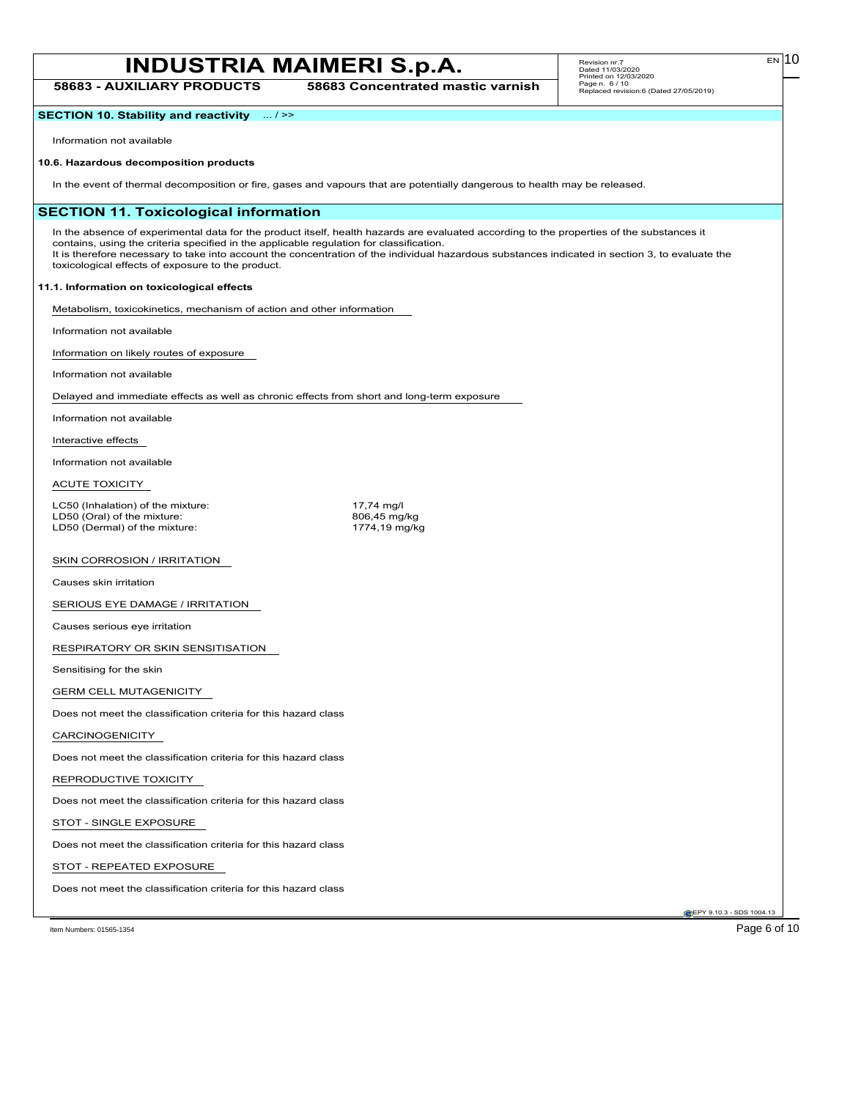**58683 - AUXILIARY PRODUCTS 58683 Concentrated mastic varnish**

**SECTION 10. Stability and reactivity** ... / >>

Information not available

# **10.6. Hazardous decomposition products**

In the event of thermal decomposition or fire, gases and vapours that are potentially dangerous to health may be released.

# **SECTION 11. Toxicological information**

In the absence of experimental data for the product itself, health hazards are evaluated according to the properties of the substances it contains, using the criteria specified in the applicable regulation for classification. It is therefore necessary to take into account the concentration of the individual hazardous substances indicated in section 3, to evaluate the toxicological effects of exposure to the product.

# **11.1. Information on toxicological effects**

Metabolism, toxicokinetics, mechanism of action and other information

Information not available

Information on likely routes of exposure

Information not available

Delayed and immediate effects as well as chronic effects from short and long-term exposure

Information not available

Interactive effects

Information not available

ACUTE TOXICITY

LC50 (Inhalation) of the mixture: 17,74 mg/l<br>
LD50 (Oral) of the mixture: 17,74 mg/kg 206,45 mg/kg LD50 (Oral) of the mixture: 806,45 mg/kg<br>
LD50 (Dermal) of the mixture: 81 and 1774,19 mg/kg LD50 (Dermal) of the mixture:

### SKIN CORROSION / IRRITATION

Causes skin irritation

SERIOUS EYE DAMAGE / IRRITATION

Causes serious eye irritation

RESPIRATORY OR SKIN SENSITISATION

Sensitising for the skin

GERM CELL MUTAGENICITY

Does not meet the classification criteria for this hazard class

# CARCINOGENICITY

Does not meet the classification criteria for this hazard class

# REPRODUCTIVE TOXICITY

Does not meet the classification criteria for this hazard class

STOT - SINGLE EXPOSURE

Does not meet the classification criteria for this hazard class

# STOT - REPEATED EXPOSURE

Does not meet the classification criteria for this hazard class

EPY 9.10.3 - SDS 1004.13

EN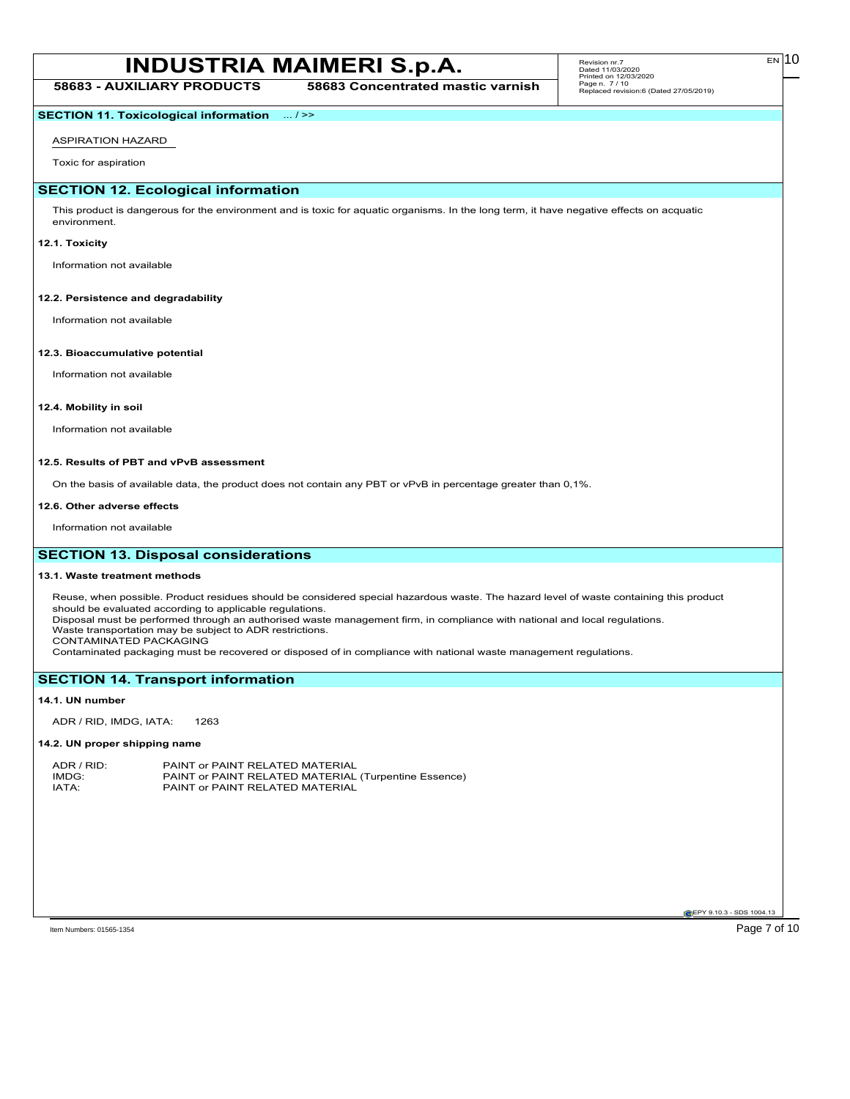# Page 7 of 10 MSDS for #01565 - MAIMERI OIL MEDIUM **INDUSTRIA MAIMERI S.p.A.**

**58683 - AUXILIARY PRODUCTS 58683 Concentrated mastic varnish**

# **SECTION 11. Toxicological information** ... / >>

ASPIRATION HAZARD

Toxic for aspiration

# **SECTION 12. Ecological information**

This product is dangerous for the environment and is toxic for aquatic organisms. In the long term, it have negative effects on acquatic environment.

### **12.1. Toxicity**

Information not available

### **12.2. Persistence and degradability**

Information not available

# **12.3. Bioaccumulative potential**

Information not available

# **12.4. Mobility in soil**

Information not available

### **12.5. Results of PBT and vPvB assessment**

On the basis of available data, the product does not contain any PBT or vPvB in percentage greater than 0,1%.

#### **12.6. Other adverse effects**

Information not available

# **SECTION 13. Disposal considerations**

### **13.1. Waste treatment methods**

Reuse, when possible. Product residues should be considered special hazardous waste. The hazard level of waste containing this product should be evaluated according to applicable regulations.

Disposal must be performed through an authorised waste management firm, in compliance with national and local regulations.

Waste transportation may be subject to ADR restrictions. CONTAMINATED PACKAGING

Contaminated packaging must be recovered or disposed of in compliance with national waste management regulations.

# **SECTION 14. Transport information**

### **14.1. UN number**

ADR / RID, IMDG, IATA: 1263

### **14.2. UN proper shipping name**

| ADR / RID: | PAINT or PAINT RELATED MATERIAL                      |
|------------|------------------------------------------------------|
| IMDG:      | PAINT or PAINT RELATED MATERIAL (Turpentine Essence) |
| IATA:      | PAINT or PAINT RELATED MATERIAL                      |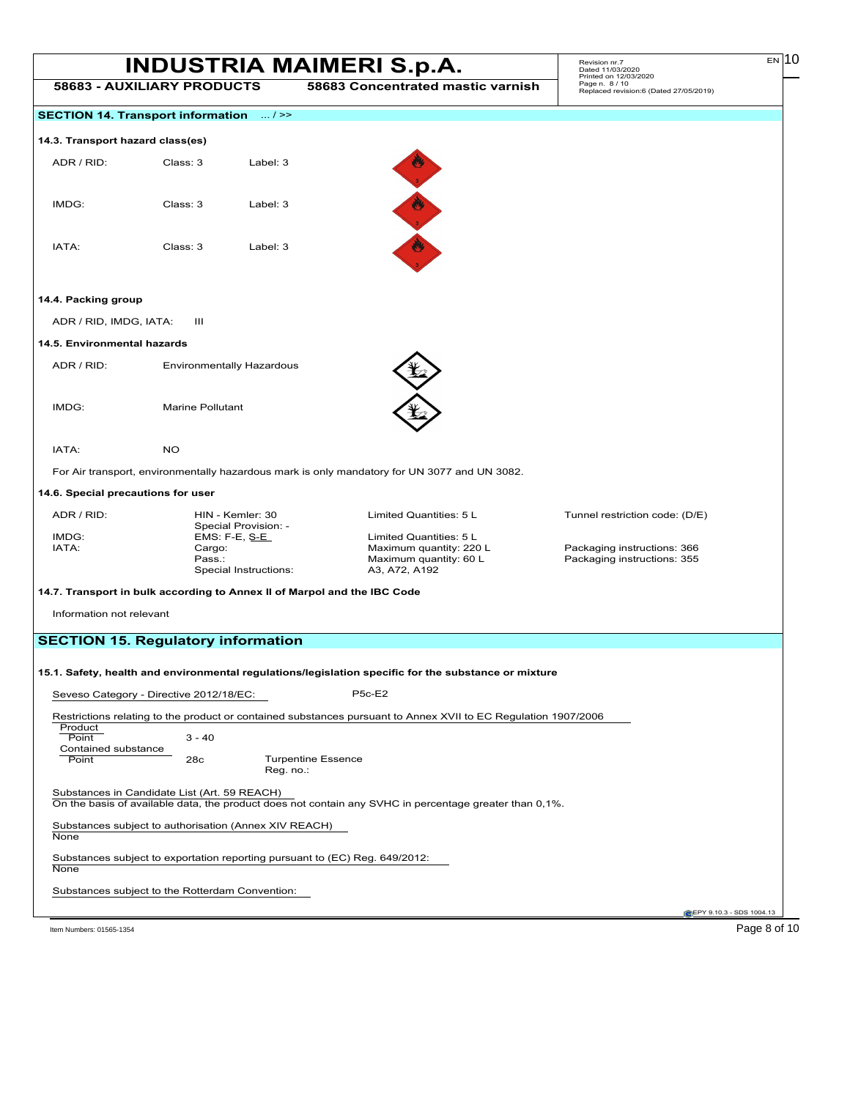|                                    |                                                 |                                                       | <b>INDUSTRIA MAIMERI S.p.A.</b>                                                                                | Revision nr.7<br>Dated 11/03/2020<br>Printed on 12/03/2020 | $EN$ 10 |
|------------------------------------|-------------------------------------------------|-------------------------------------------------------|----------------------------------------------------------------------------------------------------------------|------------------------------------------------------------|---------|
|                                    | <b>58683 - AUXILIARY PRODUCTS</b>               |                                                       | 58683 Concentrated mastic varnish                                                                              | Page n. 8 / 10<br>Replaced revision:6 (Dated 27/05/2019)   |         |
|                                    | SECTION 14. Transport information  / >>         |                                                       |                                                                                                                |                                                            |         |
| 14.3. Transport hazard class(es)   |                                                 |                                                       |                                                                                                                |                                                            |         |
| ADR / RID:                         | Class: 3                                        | Label: 3                                              |                                                                                                                |                                                            |         |
|                                    |                                                 |                                                       |                                                                                                                |                                                            |         |
| IMDG:                              | Class: 3                                        | Label: 3                                              |                                                                                                                |                                                            |         |
|                                    |                                                 |                                                       | 西北                                                                                                             |                                                            |         |
| IATA:                              | Class: 3                                        | Label: 3                                              |                                                                                                                |                                                            |         |
| 14.4. Packing group                |                                                 |                                                       |                                                                                                                |                                                            |         |
| ADR / RID, IMDG, IATA:             | Ш                                               |                                                       |                                                                                                                |                                                            |         |
| 14.5. Environmental hazards        |                                                 |                                                       |                                                                                                                |                                                            |         |
| ADR / RID:                         |                                                 | Environmentally Hazardous                             |                                                                                                                |                                                            |         |
|                                    |                                                 |                                                       |                                                                                                                |                                                            |         |
| IMDG:                              | <b>Marine Pollutant</b>                         |                                                       |                                                                                                                |                                                            |         |
|                                    |                                                 |                                                       |                                                                                                                |                                                            |         |
| IATA:                              | <b>NO</b>                                       |                                                       |                                                                                                                |                                                            |         |
|                                    |                                                 |                                                       | For Air transport, environmentally hazardous mark is only mandatory for UN 3077 and UN 3082.                   |                                                            |         |
| 14.6. Special precautions for user |                                                 |                                                       |                                                                                                                |                                                            |         |
| ADR / RID:                         |                                                 | HIN - Kemler: 30                                      | Limited Quantities: 5 L                                                                                        | Tunnel restriction code: (D/E)                             |         |
| IMDG:                              |                                                 | Special Provision: -<br>EMS: F-E, S-E                 | Limited Quantities: 5 L                                                                                        |                                                            |         |
| IATA:                              | Cargo:                                          |                                                       | Maximum quantity: 220 L                                                                                        | Packaging instructions: 366                                |         |
|                                    | Pass.:                                          | Special Instructions:                                 | Maximum quantity: 60 L<br>A3, A72, A192                                                                        | Packaging instructions: 355                                |         |
|                                    |                                                 |                                                       | 14.7. Transport in bulk according to Annex II of Marpol and the IBC Code                                       |                                                            |         |
| Information not relevant           |                                                 |                                                       |                                                                                                                |                                                            |         |
|                                    |                                                 |                                                       |                                                                                                                |                                                            |         |
|                                    | <b>SECTION 15. Regulatory information</b>       |                                                       |                                                                                                                |                                                            |         |
|                                    |                                                 |                                                       | 15.1. Safety, health and environmental regulations/legislation specific for the substance or mıxture           |                                                            |         |
|                                    | Seveso Category - Directive 2012/18/EC:         |                                                       | <b>P5c-E2</b>                                                                                                  |                                                            |         |
|                                    |                                                 |                                                       | Restrictions relating to the product or contained substances pursuant to Annex XVII to EC Regulation 1907/2006 |                                                            |         |
| Product                            |                                                 |                                                       |                                                                                                                |                                                            |         |
| Point<br>Contained substance       | $3 - 40$                                        |                                                       |                                                                                                                |                                                            |         |
| Point                              | 28c                                             | <b>Turpentine Essence</b><br>Reg. no.:                |                                                                                                                |                                                            |         |
|                                    | Substances in Candidate List (Art. 59 REACH)    |                                                       | On the basis of available data, the product does not contain any SVHC in percentage greater than 0,1%.         |                                                            |         |
|                                    |                                                 | Substances subject to authorisation (Annex XIV REACH) |                                                                                                                |                                                            |         |
| None                               |                                                 |                                                       |                                                                                                                |                                                            |         |
| None                               |                                                 |                                                       | Substances subject to exportation reporting pursuant to (EC) Reg. 649/2012:                                    |                                                            |         |
|                                    | Substances subject to the Rotterdam Convention: |                                                       |                                                                                                                |                                                            |         |

Item Numbers: 01565-1354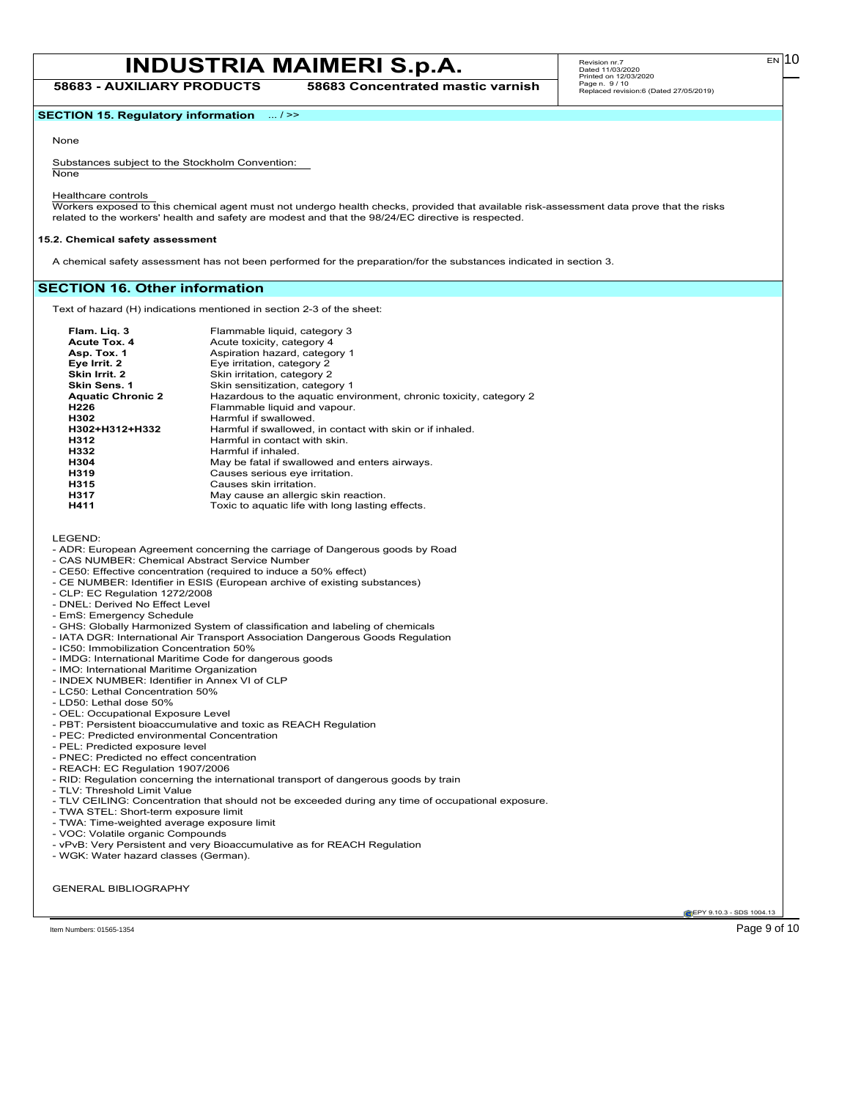**58683 - AUXILIARY PRODUCTS 58683 Concentrated mastic varnish**

**SECTION 15. Regulatory information** ... / >>

### None

Substances subject to the Stockholm Convention: None

Healthcare controls

Workers exposed to this chemical agent must not undergo health checks, provided that available risk-assessment data prove that the risks related to the workers' health and safety are modest and that the 98/24/EC directive is respected.

#### **15.2. Chemical safety assessment**

A chemical safety assessment has not been performed for the preparation/for the substances indicated in section 3.

# **SECTION 16. Other information**

Text of hazard (H) indications mentioned in section 2-3 of the sheet:

| Flam. Lig. 3             | Flammable liquid, category 3                                       |
|--------------------------|--------------------------------------------------------------------|
| Acute Tox. 4             | Acute toxicity, category 4                                         |
| Asp. Tox. 1              | Aspiration hazard, category 1                                      |
| Eye Irrit. 2             | Eye irritation, category 2                                         |
| Skin Irrit. 2            | Skin irritation, category 2                                        |
| Skin Sens. 1             | Skin sensitization, category 1                                     |
| <b>Aquatic Chronic 2</b> | Hazardous to the aquatic environment, chronic toxicity, category 2 |
| H226                     | Flammable liquid and vapour.                                       |
| H302                     | Harmful if swallowed                                               |
| H302+H312+H332           | Harmful if swallowed, in contact with skin or if inhaled.          |
| H312                     | Harmful in contact with skin.                                      |
| H332                     | Harmful if inhaled.                                                |
| H304                     | May be fatal if swallowed and enters airways.                      |
| H319                     | Causes serious eye irritation.                                     |
| H315                     | Causes skin irritation.                                            |
| H317                     | May cause an allergic skin reaction.                               |
| H411                     | Toxic to aquatic life with long lasting effects.                   |

LEGEND:

- ADR: European Agreement concerning the carriage of Dangerous goods by Road
- CAS NUMBER: Chemical Abstract Service Number
- CE50: Effective concentration (required to induce a 50% effect)
- CE NUMBER: Identifier in ESIS (European archive of existing substances)
- CLP: EC Regulation 1272/2008
- DNEL: Derived No Effect Level
- EmS: Emergency Schedule
- GHS: Globally Harmonized System of classification and labeling of chemicals
- IATA DGR: International Air Transport Association Dangerous Goods Regulation
- IC50: Immobilization Concentration 50%
- IMDG: International Maritime Code for dangerous goods
- IMO: International Maritime Organization
- INDEX NUMBER: Identifier in Annex VI of CLP
- LC50: Lethal Concentration 50%
- LD50: Lethal dose 50%
- OEL: Occupational Exposure Level
- PBT: Persistent bioaccumulative and toxic as REACH Regulation
- PEC: Predicted environmental Concentration
- PEL: Predicted exposure level
- PNEC: Predicted no effect concentration
- REACH: EC Regulation 1907/2006
- RID: Regulation concerning the international transport of dangerous goods by train
- TLV: Threshold Limit Value
- TLV CEILING: Concentration that should not be exceeded during any time of occupational exposure.
- TWA STEL: Short-term exposure limit
- TWA: Time-weighted average exposure limit
- VOC: Volatile organic Compounds
- vPvB: Very Persistent and very Bioaccumulative as for REACH Regulation
- WGK: Water hazard classes (German).